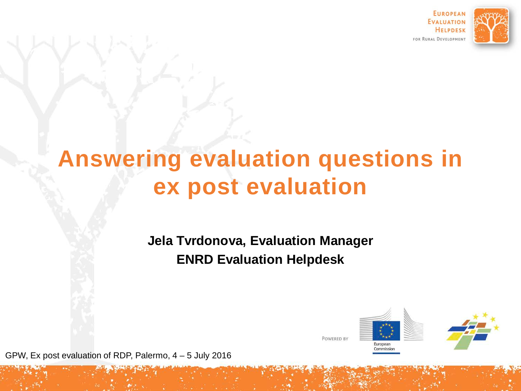

# **Answering evaluation questions in ex post evaluation**

**Jela Tvrdonova, Evaluation Manager ENRD Evaluation Helpdesk**



GPW, Ex post evaluation of RDP, Palermo, 4 – 5 July 2016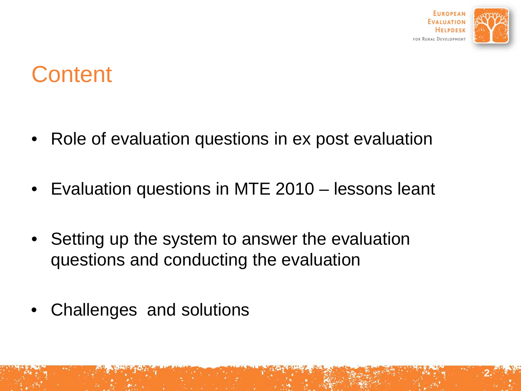

**2**

## **Content**

- Role of evaluation questions in ex post evaluation
- Evaluation questions in MTE 2010 lessons leant
- Setting up the system to answer the evaluation questions and conducting the evaluation
- Challenges and solutions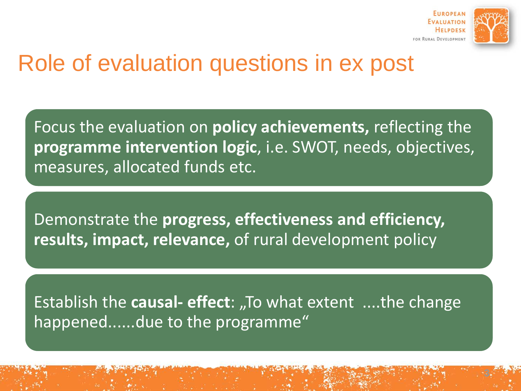

# Role of evaluation questions in ex post

Focus the evaluation on **policy achievements,** reflecting the **programme intervention logic**, i.e. SWOT, needs, objectives, measures, allocated funds etc.

Demonstrate the **progress, effectiveness and efficiency, results, impact, relevance,** of rural development policy

Establish the **causal- effect**: "To what extent ....the change happened......due to the programme"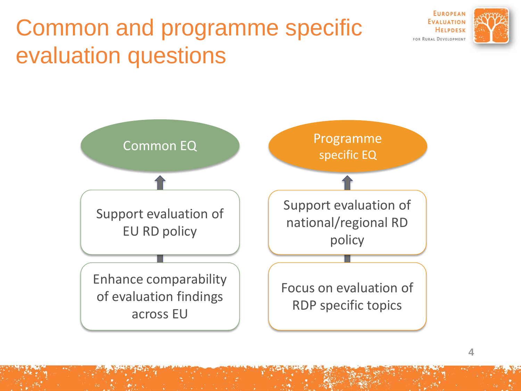# Common and programme specific evaluation questions



**EUROPEAN EVALUATION HELPDESK** FOR RURAL DEVELOPMENT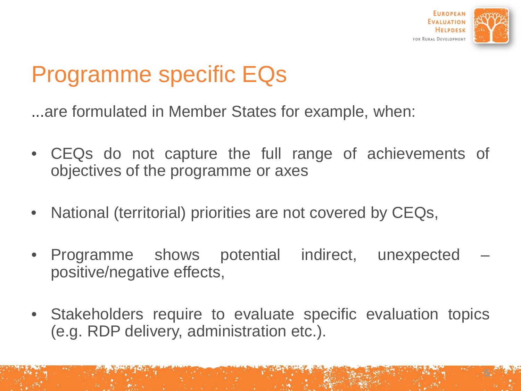

# Programme specific EQs

...are formulated in Member States for example, when:

- CEQs do not capture the full range of achievements of objectives of the programme or axes
- National (territorial) priorities are not covered by CEQs,
- Programme shows potential indirect, unexpected positive/negative effects,
- Stakeholders require to evaluate specific evaluation topics (e.g. RDP delivery, administration etc.).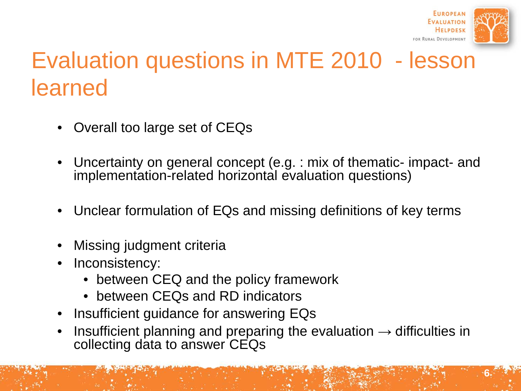

**6**

# Evaluation questions in MTE 2010 - lesson learned

- Overall too large set of CEQs
- Uncertainty on general concept (e.g. : mix of thematic- impact- and implementation-related horizontal evaluation questions)
- Unclear formulation of EQs and missing definitions of key terms
- Missing judgment criteria
- Inconsistency:
	- between CEQ and the policy framework
	- between CEQs and RD indicators
- Insufficient guidance for answering EQs
- Insufficient planning and preparing the evaluation  $\rightarrow$  difficulties in collecting data to answer CEQs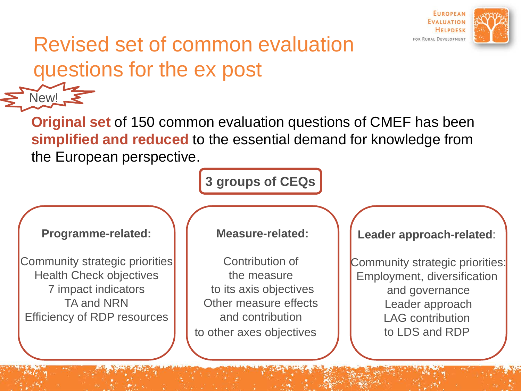

### Revised set of common evaluation questions for the ex post

**Original set** of 150 common evaluation questions of CMEF has been **simplified and reduced** to the essential demand for knowledge from the European perspective.

**3 groups of CEQs**

#### **Programme-related:**

Community strategic priorities Health Check objectives 7 impact indicators TA and NRN Efficiency of RDP resources

7

 $New!$   $\blacksquare$ 

#### **Measure-related:**

Contribution of the measure to its axis objectives Other measure effects and contribution to other axes objectives

**Leader approach-related**:

Community strategic priorities: Employment, diversification and governance Leader approach LAG contribution to LDS and RDP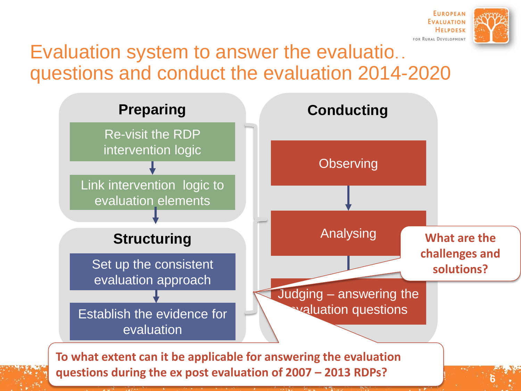

### Evaluation system to answer the evaluatio... questions and conduct the evaluation 2014-2020